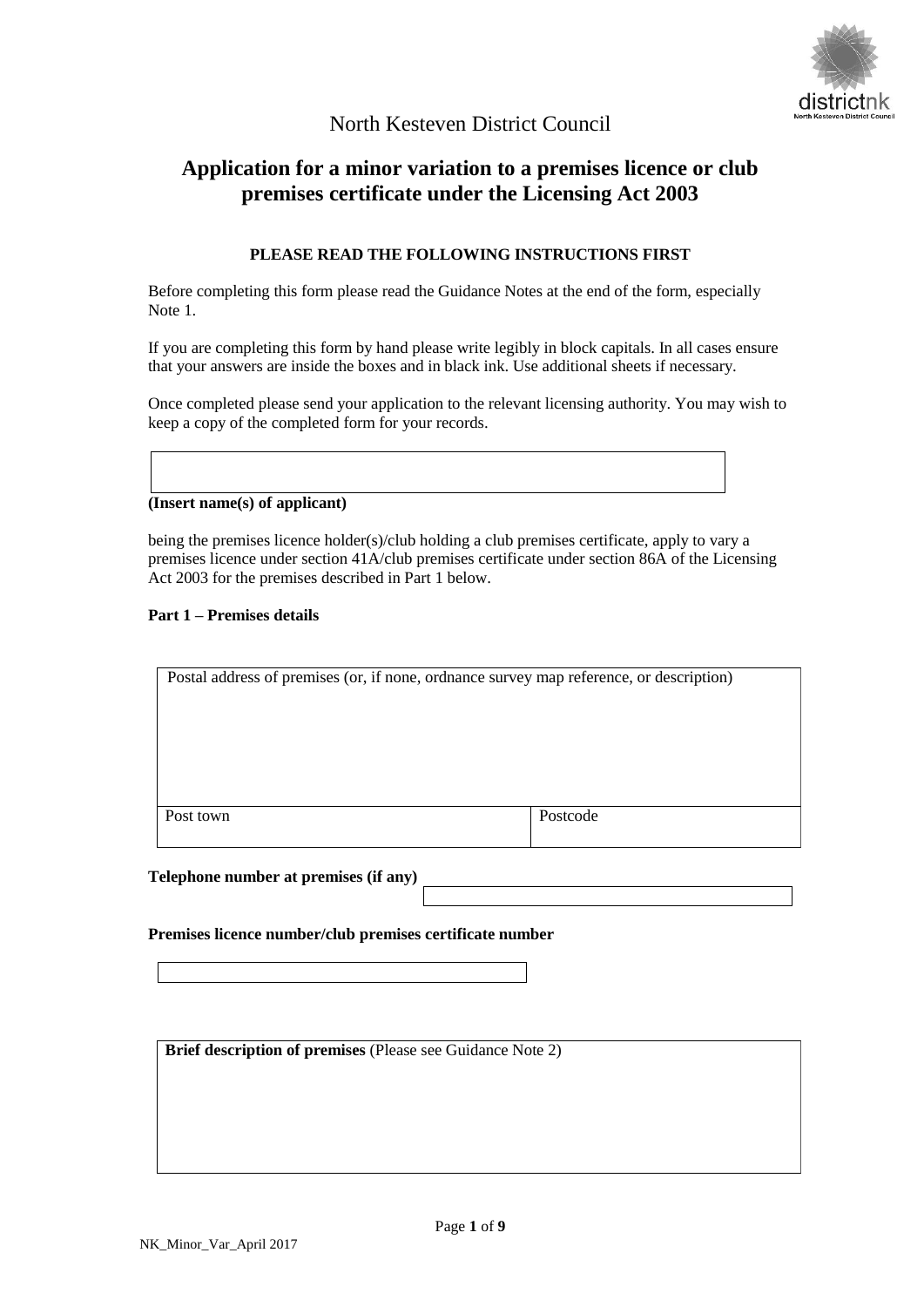

# North Kesteven District Council

# **Application for a minor variation to a premises licence or club premises certificate under the Licensing Act 2003**

# **PLEASE READ THE FOLLOWING INSTRUCTIONS FIRST**

Before completing this form please read the Guidance Notes at the end of the form, especially Note 1.

If you are completing this form by hand please write legibly in block capitals. In all cases ensure that your answers are inside the boxes and in black ink. Use additional sheets if necessary.

Once completed please send your application to the relevant licensing authority. You may wish to keep a copy of the completed form for your records.

# **(Insert name(s) of applicant)**

being the premises licence holder(s)/club holding a club premises certificate, apply to vary a premises licence under section 41A/club premises certificate under section 86A of the Licensing Act 2003 for the premises described in Part 1 below.

#### **Part 1 – Premises details**

| Postal address of premises (or, if none, ordnance survey map reference, or description) |          |
|-----------------------------------------------------------------------------------------|----------|
|                                                                                         |          |
|                                                                                         |          |
|                                                                                         |          |
|                                                                                         |          |
|                                                                                         |          |
|                                                                                         |          |
|                                                                                         |          |
| Post town                                                                               | Postcode |
|                                                                                         |          |
|                                                                                         |          |

#### **Telephone number at premises (if any)**

#### **Premises licence number/club premises certificate number**

**Brief description of premises** (Please see Guidance Note 2)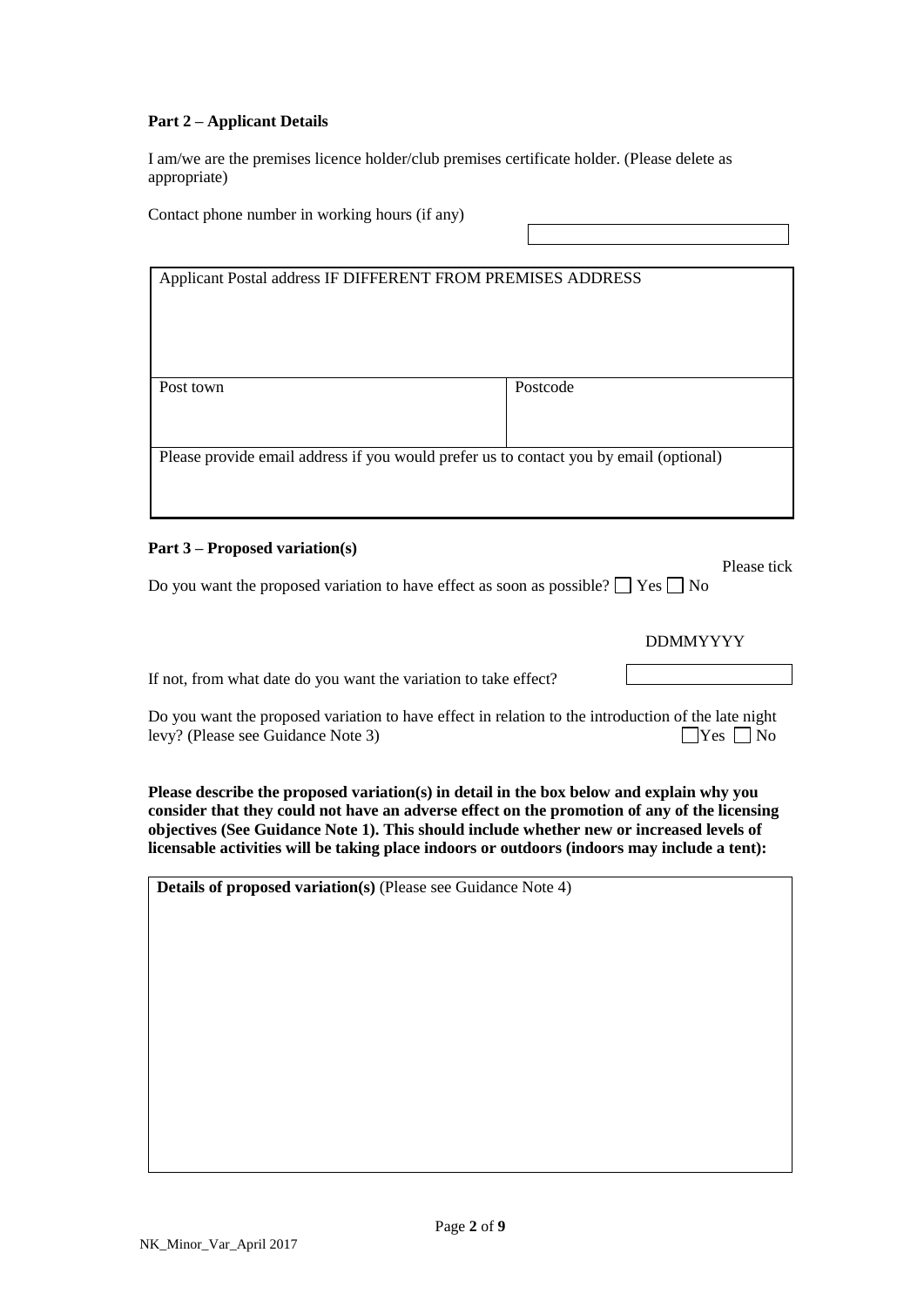# **Part 2 – Applicant Details**

I am/we are the premises licence holder/club premises certificate holder. (Please delete as appropriate)

Contact phone number in working hours (if any)

| Applicant Postal address IF DIFFERENT FROM PREMISES ADDRESS                            |          |
|----------------------------------------------------------------------------------------|----------|
|                                                                                        |          |
|                                                                                        |          |
|                                                                                        |          |
|                                                                                        |          |
|                                                                                        |          |
|                                                                                        |          |
| Post town                                                                              | Postcode |
|                                                                                        |          |
|                                                                                        |          |
|                                                                                        |          |
|                                                                                        |          |
| Please provide email address if you would prefer us to contact you by email (optional) |          |
|                                                                                        |          |
|                                                                                        |          |
|                                                                                        |          |
|                                                                                        |          |

#### **Part 3 – Proposed variation(s)**

Do you want the proposed variation to have effect as soon as possible?  $\Box$  Yes  $\Box$  No

DDMMYYYY

Please tick

If not, from what date do you want the variation to take effect?

Do you want the proposed variation to have effect in relation to the introduction of the late night levy? (Please see Guidance Note 3) Yes No

**Please describe the proposed variation(s) in detail in the box below and explain why you consider that they could not have an adverse effect on the promotion of any of the licensing objectives (See Guidance Note 1). This should include whether new or increased levels of licensable activities will be taking place indoors or outdoors (indoors may include a tent):**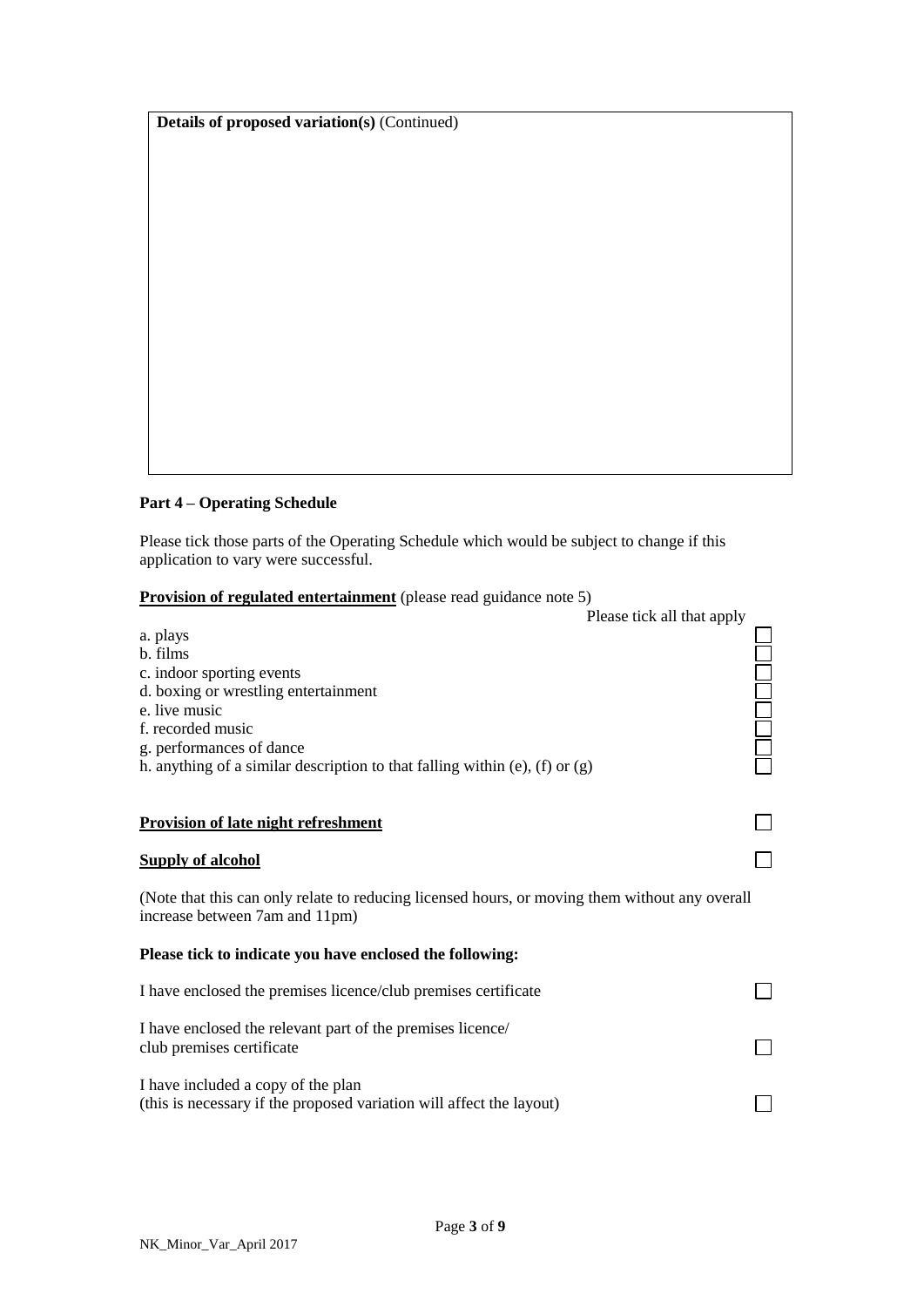**Details of proposed variation(s)** (Continued)

# **Part 4 – Operating Schedule**

Please tick those parts of the Operating Schedule which would be subject to change if this application to vary were successful.

# **Provision of regulated entertainment** (please read guidance note 5)

| Please tick all that apply                                                                                                       |  |
|----------------------------------------------------------------------------------------------------------------------------------|--|
| a. plays                                                                                                                         |  |
| b. films                                                                                                                         |  |
| c. indoor sporting events                                                                                                        |  |
| d. boxing or wrestling entertainment                                                                                             |  |
| e. live music                                                                                                                    |  |
| f. recorded music                                                                                                                |  |
| g. performances of dance<br>h. anything of a similar description to that falling within (e), (f) or $(g)$                        |  |
|                                                                                                                                  |  |
|                                                                                                                                  |  |
| <b>Provision of late night refreshment</b>                                                                                       |  |
| <b>Supply of alcohol</b>                                                                                                         |  |
| (Note that this can only relate to reducing licensed hours, or moving them without any overall<br>increase between 7am and 11pm) |  |
| Please tick to indicate you have enclosed the following:                                                                         |  |
| I have enclosed the premises licence/club premises certificate                                                                   |  |
| I have enclosed the relevant part of the premises licence/                                                                       |  |
| club premises certificate                                                                                                        |  |
| I have included a copy of the plan                                                                                               |  |
| (this is necessary if the proposed variation will affect the layout)                                                             |  |
|                                                                                                                                  |  |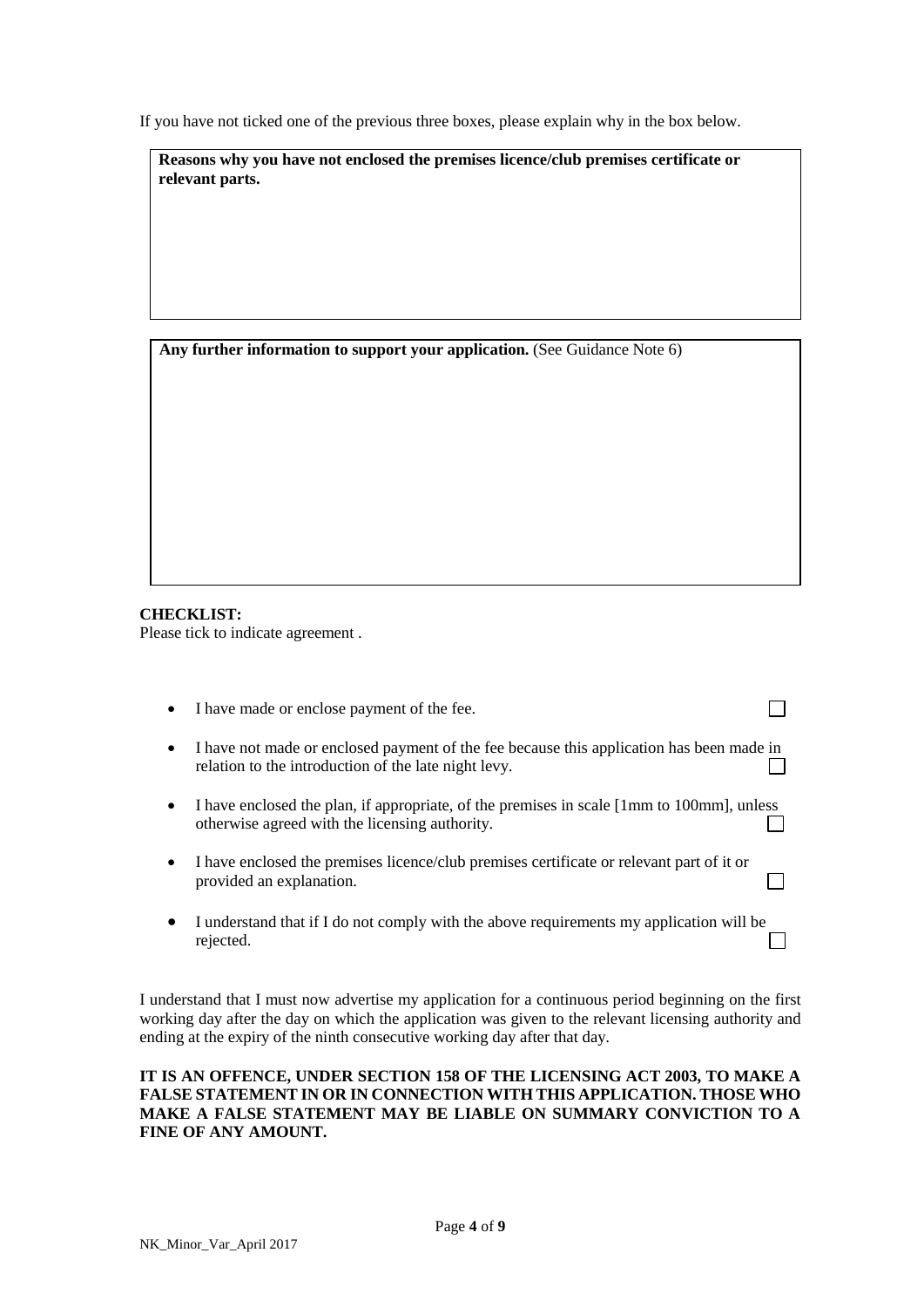If you have not ticked one of the previous three boxes, please explain why in the box below.

**Reasons why you have not enclosed the premises licence/club premises certificate or relevant parts.** 

**Any further information to support your application.** (See Guidance Note 6)

**CHECKLIST:** Please tick to indicate agreement .

| $\bullet$ | I have made or enclose payment of the fee.                                                                                                       |  |
|-----------|--------------------------------------------------------------------------------------------------------------------------------------------------|--|
| $\bullet$ | I have not made or enclosed payment of the fee because this application has been made in<br>relation to the introduction of the late night levy. |  |
| $\bullet$ | I have enclosed the plan, if appropriate, of the premises in scale [1mm to 100mm], unless<br>otherwise agreed with the licensing authority.      |  |
| $\bullet$ | I have enclosed the premises licence/club premises certificate or relevant part of it or<br>provided an explanation.                             |  |
|           | I understand that if I do not comply with the above requirements my application will be<br>rejected.                                             |  |

I understand that I must now advertise my application for a continuous period beginning on the first working day after the day on which the application was given to the relevant licensing authority and ending at the expiry of the ninth consecutive working day after that day.

# **IT IS AN OFFENCE, UNDER SECTION 158 OF THE LICENSING ACT 2003, TO MAKE A FALSE STATEMENT IN OR IN CONNECTION WITH THIS APPLICATION. THOSE WHO MAKE A FALSE STATEMENT MAY BE LIABLE ON SUMMARY CONVICTION TO A FINE OF ANY AMOUNT.**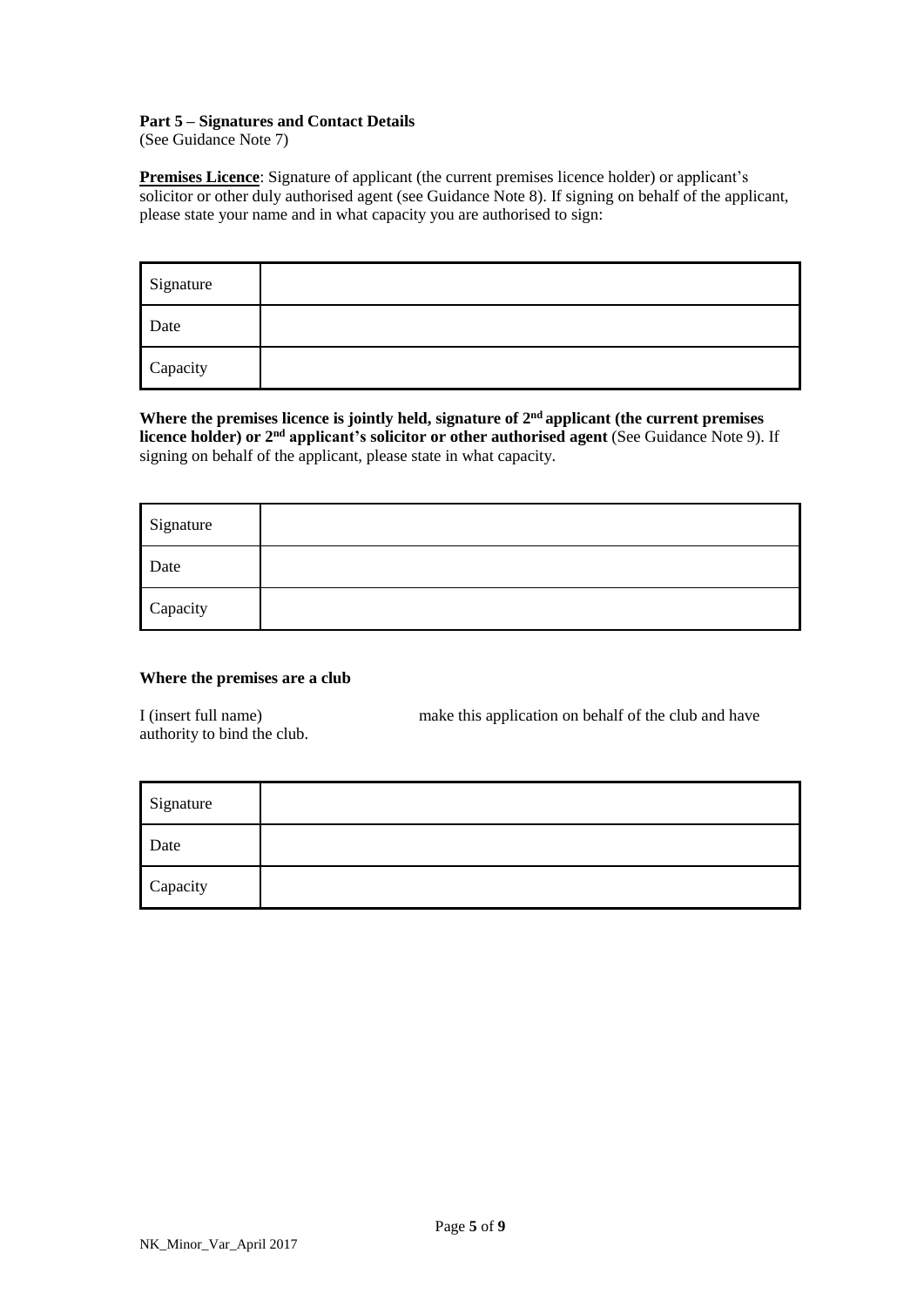#### **Part 5 – Signatures and Contact Details**

(See Guidance Note 7)

**Premises Licence**: Signature of applicant (the current premises licence holder) or applicant's solicitor or other duly authorised agent (see Guidance Note 8). If signing on behalf of the applicant, please state your name and in what capacity you are authorised to sign:

| Signature |  |
|-----------|--|
| Date      |  |
| Capacity  |  |

**Where the premises licence is jointly held, signature of 2 nd applicant (the current premises licence** holder) or  $2<sup>nd</sup>$  applicant's solicitor or other authorised agent (See Guidance Note 9). If signing on behalf of the applicant, please state in what capacity.

| Signature |  |
|-----------|--|
| Date      |  |
| Capacity  |  |

# **Where the premises are a club**

I (insert full name) make this application on behalf of the club and have authority to bind the club.

| Signature |  |
|-----------|--|
| Date      |  |
| Capacity  |  |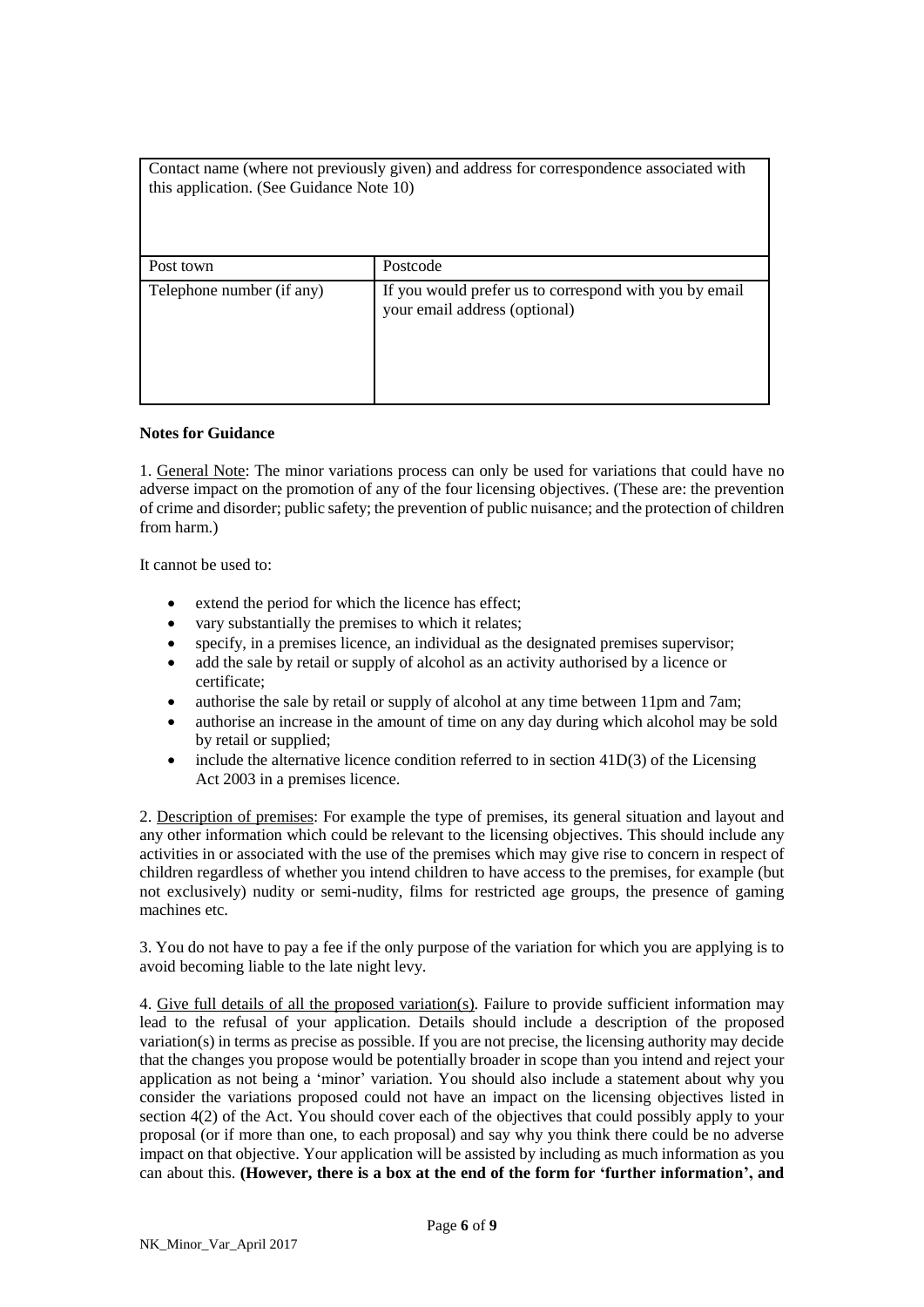| Contact name (where not previously given) and address for correspondence associated with<br>this application. (See Guidance Note 10) |                                                                                         |
|--------------------------------------------------------------------------------------------------------------------------------------|-----------------------------------------------------------------------------------------|
| Post town                                                                                                                            | Postcode                                                                                |
| Telephone number (if any)                                                                                                            | If you would prefer us to correspond with you by email<br>your email address (optional) |

### **Notes for Guidance**

1. General Note: The minor variations process can only be used for variations that could have no adverse impact on the promotion of any of the four licensing objectives. (These are: the prevention of crime and disorder; public safety; the prevention of public nuisance; and the protection of children from harm.)

It cannot be used to:

- extend the period for which the licence has effect;
- vary substantially the premises to which it relates;
- specify, in a premises licence, an individual as the designated premises supervisor;
- add the sale by retail or supply of alcohol as an activity authorised by a licence or certificate;
- authorise the sale by retail or supply of alcohol at any time between 11pm and 7am;
- authorise an increase in the amount of time on any day during which alcohol may be sold by retail or supplied;
- include the alternative licence condition referred to in section 41D(3) of the Licensing Act 2003 in a premises licence.

2. Description of premises: For example the type of premises, its general situation and layout and any other information which could be relevant to the licensing objectives. This should include any activities in or associated with the use of the premises which may give rise to concern in respect of children regardless of whether you intend children to have access to the premises, for example (but not exclusively) nudity or semi-nudity, films for restricted age groups, the presence of gaming machines etc.

3. You do not have to pay a fee if the only purpose of the variation for which you are applying is to avoid becoming liable to the late night levy.

4. Give full details of all the proposed variation(s). Failure to provide sufficient information may lead to the refusal of your application. Details should include a description of the proposed variation(s) in terms as precise as possible. If you are not precise, the licensing authority may decide that the changes you propose would be potentially broader in scope than you intend and reject your application as not being a 'minor' variation. You should also include a statement about why you consider the variations proposed could not have an impact on the licensing objectives listed in section 4(2) of the Act. You should cover each of the objectives that could possibly apply to your proposal (or if more than one, to each proposal) and say why you think there could be no adverse impact on that objective. Your application will be assisted by including as much information as you can about this. **(However, there is a box at the end of the form for 'further information', and**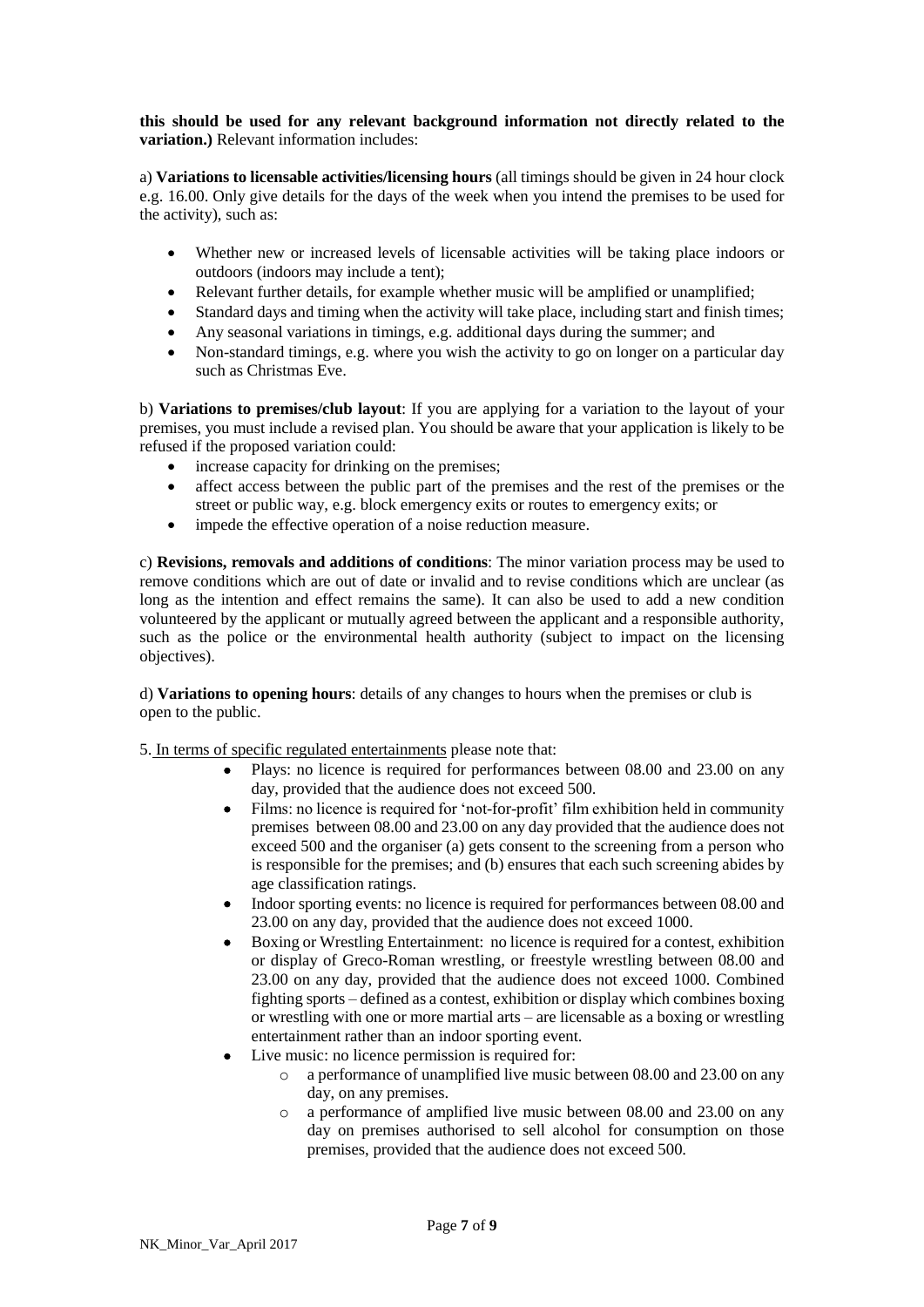### **this should be used for any relevant background information not directly related to the variation.)** Relevant information includes:

a) **Variations to licensable activities/licensing hours** (all timings should be given in 24 hour clock e.g. 16.00. Only give details for the days of the week when you intend the premises to be used for the activity), such as:

- Whether new or increased levels of licensable activities will be taking place indoors or outdoors (indoors may include a tent);
- Relevant further details, for example whether music will be amplified or unamplified;
- Standard days and timing when the activity will take place, including start and finish times;
- Any seasonal variations in timings, e.g. additional days during the summer; and
- Non-standard timings, e.g. where you wish the activity to go on longer on a particular day such as Christmas Eve.

b) **Variations to premises/club layout**: If you are applying for a variation to the layout of your premises, you must include a revised plan. You should be aware that your application is likely to be refused if the proposed variation could:

- increase capacity for drinking on the premises;
- affect access between the public part of the premises and the rest of the premises or the street or public way, e.g. block emergency exits or routes to emergency exits; or
- impede the effective operation of a noise reduction measure.

c) **Revisions, removals and additions of conditions**: The minor variation process may be used to remove conditions which are out of date or invalid and to revise conditions which are unclear (as long as the intention and effect remains the same). It can also be used to add a new condition volunteered by the applicant or mutually agreed between the applicant and a responsible authority, such as the police or the environmental health authority (subject to impact on the licensing objectives).

d) **Variations to opening hours**: details of any changes to hours when the premises or club is open to the public.

5. In terms of specific regulated entertainments please note that:

- Plays: no licence is required for performances between 08.00 and 23.00 on any day, provided that the audience does not exceed 500.
- Films: no licence is required for 'not-for-profit' film exhibition held in community premises between 08.00 and 23.00 on any day provided that the audience does not exceed 500 and the organiser (a) gets consent to the screening from a person who is responsible for the premises; and (b) ensures that each such screening abides by age classification ratings.
- Indoor sporting events: no licence is required for performances between 08.00 and 23.00 on any day, provided that the audience does not exceed 1000.
- Boxing or Wrestling Entertainment: no licence is required for a contest, exhibition or display of Greco-Roman wrestling, or freestyle wrestling between 08.00 and 23.00 on any day, provided that the audience does not exceed 1000. Combined fighting sports – defined as a contest, exhibition or display which combines boxing or wrestling with one or more martial arts – are licensable as a boxing or wrestling entertainment rather than an indoor sporting event.
- Live music: no licence permission is required for:
	- o a performance of unamplified live music between 08.00 and 23.00 on any day, on any premises.
	- o a performance of amplified live music between 08.00 and 23.00 on any day on premises authorised to sell alcohol for consumption on those premises, provided that the audience does not exceed 500.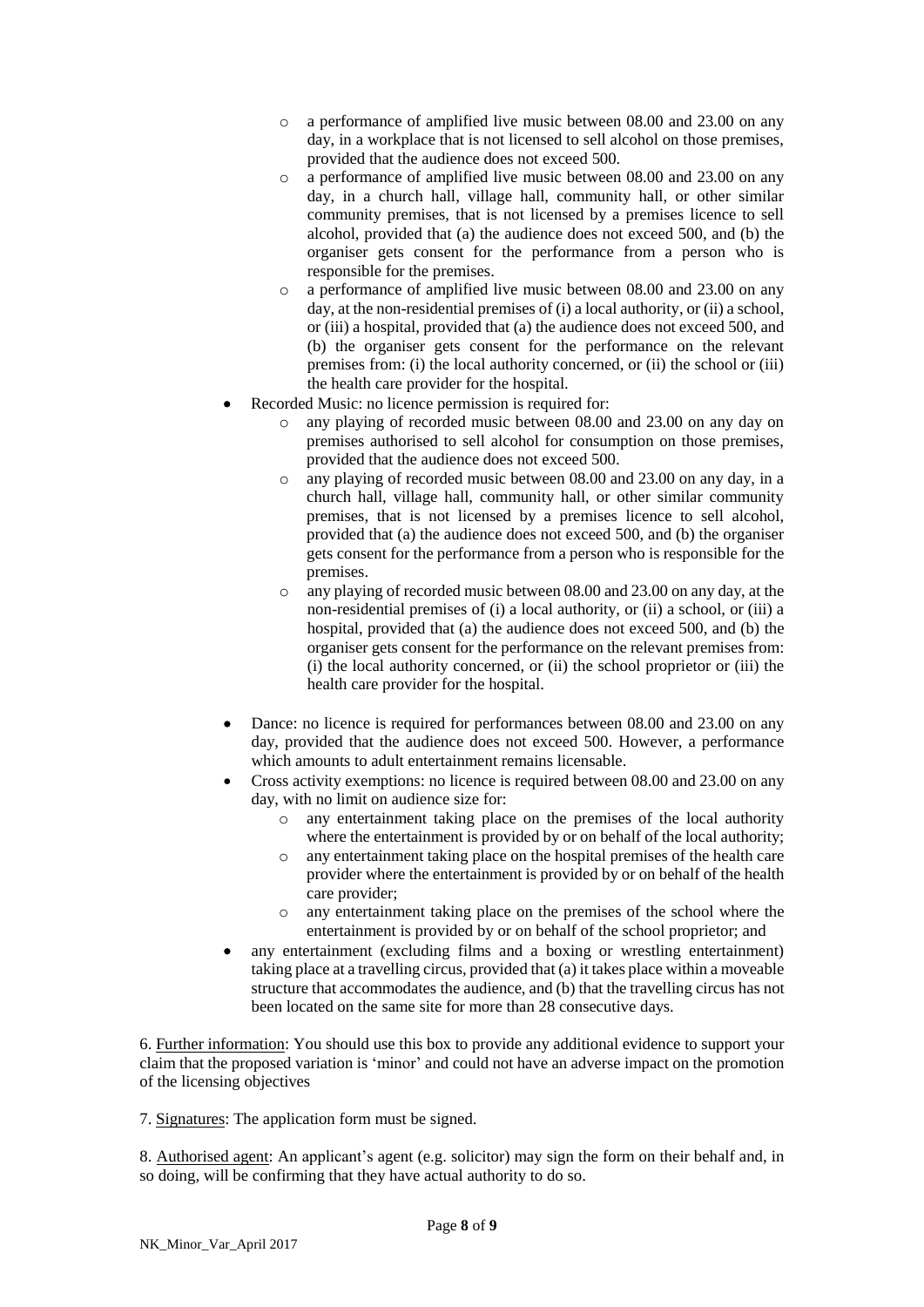- o a performance of amplified live music between 08.00 and 23.00 on any day, in a workplace that is not licensed to sell alcohol on those premises, provided that the audience does not exceed 500.
- o a performance of amplified live music between 08.00 and 23.00 on any day, in a church hall, village hall, community hall, or other similar community premises, that is not licensed by a premises licence to sell alcohol, provided that (a) the audience does not exceed 500, and (b) the organiser gets consent for the performance from a person who is responsible for the premises.
- o a performance of amplified live music between 08.00 and 23.00 on any day, at the non-residential premises of (i) a local authority, or (ii) a school, or (iii) a hospital, provided that (a) the audience does not exceed 500, and (b) the organiser gets consent for the performance on the relevant premises from: (i) the local authority concerned, or (ii) the school or (iii) the health care provider for the hospital.
- Recorded Music: no licence permission is required for:
	- o any playing of recorded music between 08.00 and 23.00 on any day on premises authorised to sell alcohol for consumption on those premises, provided that the audience does not exceed 500.
	- o any playing of recorded music between 08.00 and 23.00 on any day, in a church hall, village hall, community hall, or other similar community premises, that is not licensed by a premises licence to sell alcohol, provided that (a) the audience does not exceed 500, and (b) the organiser gets consent for the performance from a person who is responsible for the premises.
	- o any playing of recorded music between 08.00 and 23.00 on any day, at the non-residential premises of (i) a local authority, or (ii) a school, or (iii) a hospital, provided that (a) the audience does not exceed 500, and (b) the organiser gets consent for the performance on the relevant premises from: (i) the local authority concerned, or (ii) the school proprietor or (iii) the health care provider for the hospital.
- Dance: no licence is required for performances between 08.00 and 23.00 on any day, provided that the audience does not exceed 500. However, a performance which amounts to adult entertainment remains licensable.
- Cross activity exemptions: no licence is required between 08.00 and 23.00 on any day, with no limit on audience size for:
	- o any entertainment taking place on the premises of the local authority where the entertainment is provided by or on behalf of the local authority;
	- o any entertainment taking place on the hospital premises of the health care provider where the entertainment is provided by or on behalf of the health care provider;
	- o any entertainment taking place on the premises of the school where the entertainment is provided by or on behalf of the school proprietor; and
- any entertainment (excluding films and a boxing or wrestling entertainment) taking place at a travelling circus, provided that (a) it takes place within a moveable structure that accommodates the audience, and (b) that the travelling circus has not been located on the same site for more than 28 consecutive days.

6. Further information: You should use this box to provide any additional evidence to support your claim that the proposed variation is 'minor' and could not have an adverse impact on the promotion of the licensing objectives

7. Signatures: The application form must be signed.

8. Authorised agent: An applicant's agent (e.g. solicitor) may sign the form on their behalf and, in so doing, will be confirming that they have actual authority to do so.